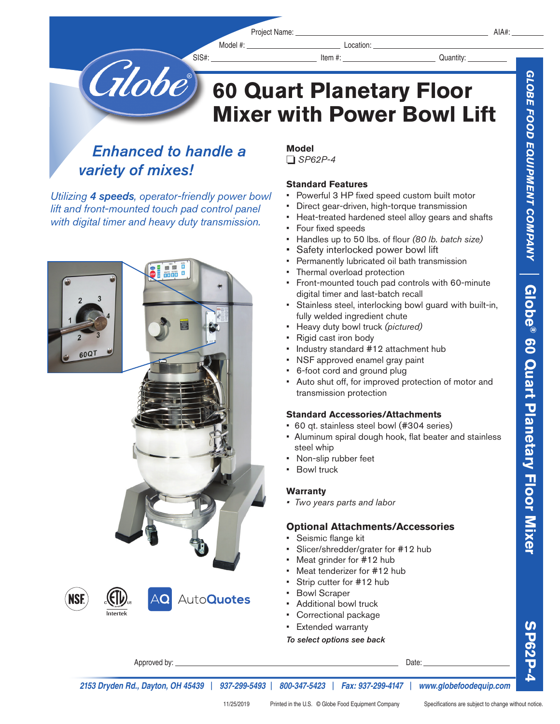Model #: Location: Location:

**® 60 Quart Planetary Floor Mixer**

**SP62P-4**

**SP62P** 

Globe 60 Quart Planetary Floor **60 Quart Planetary Floor Mixer with Power Bowl Lift**

*Enhanced to handle a variety of mixes!*

*Utilizing 4 speeds, operator-friendly power bowl lift and front-mounted touch pad control panel with digital timer and heavy duty transmission.*



#### **Model**  o *SP62P-4*

### **Standard Features**

- Powerful 3 HP fixed speed custom built motor
- Direct gear-driven, high-torque transmission
- Heat-treated hardened steel alloy gears and shafts
- Four fixed speeds
- Handles up to 50 lbs. of flour *(80 lb. batch size)*
- Safety interlocked power bowl lift
- Permanently lubricated oil bath transmission
- Thermal overload protection
- Front-mounted touch pad controls with 60-minute digital timer and last-batch recall
- Stainless steel, interlocking bowl guard with built-in, fully welded ingredient chute
- Heavy duty bowl truck *(pictured)*
- Rigid cast iron body
- Industry standard #12 attachment hub
- NSF approved enamel gray paint
- 6-foot cord and ground plug
- Auto shut off, for improved protection of motor and transmission protection

### **Standard Accessories/Attachments**

- 60 qt. stainless steel bowl (#304 series)
- Aluminum spiral dough hook, flat beater and stainless steel whip
- Non-slip rubber feet
- **Bowl truck**

### **Warranty**

*• Two years parts and labor*

## **Optional Attachments/Accessories**

- Seismic flange kit
- Slicer/shredder/grater for #12 hub
- Meat grinder for #12 hub
- Meat tenderizer for #12 hub
- Strip cutter for #12 hub
- **Bowl Scraper**
- Additional bowl truck
- Correctional package
- Extended warranty

*To select options see back*

Approved by: Date:

*2153 Dryden Rd., Dayton, OH 45439* | *937-299-5493* | *800-347-5423* | *Fax: 937-299-4147* | *www.globefoodequip.com*